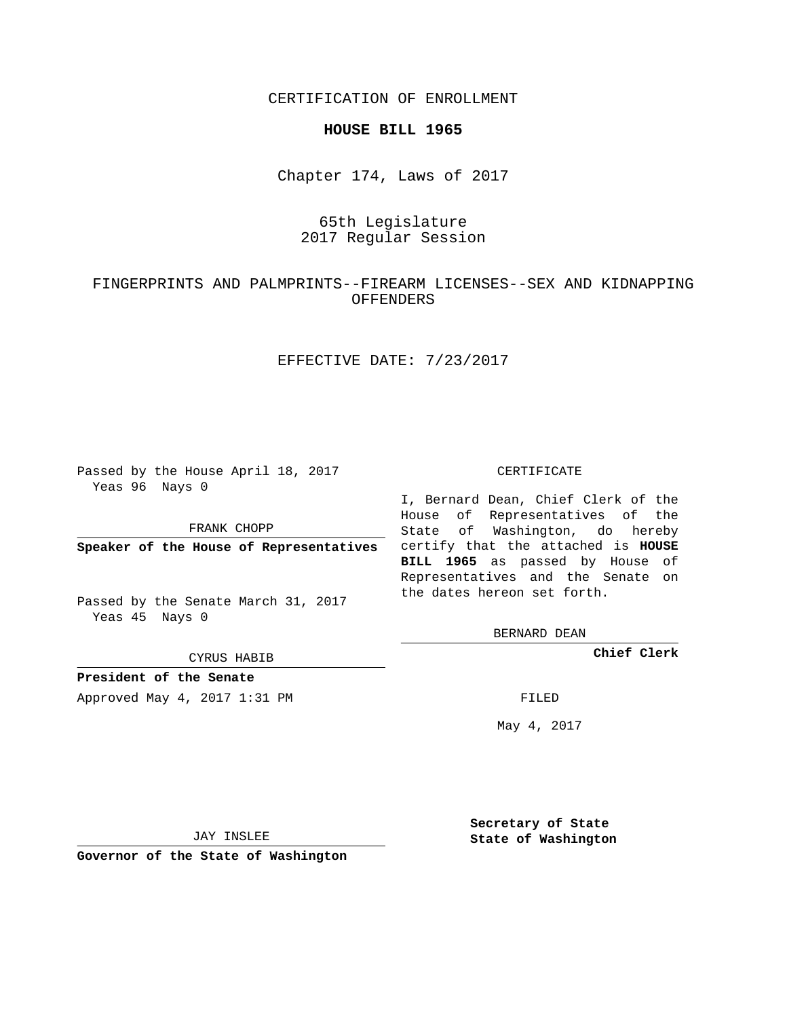CERTIFICATION OF ENROLLMENT

### **HOUSE BILL 1965**

Chapter 174, Laws of 2017

# 65th Legislature 2017 Regular Session

## FINGERPRINTS AND PALMPRINTS--FIREARM LICENSES--SEX AND KIDNAPPING **OFFENDERS**

## EFFECTIVE DATE: 7/23/2017

Passed by the House April 18, 2017 Yeas 96 Nays 0

FRANK CHOPP

Passed by the Senate March 31, 2017 Yeas 45 Nays 0

CYRUS HABIB

**President of the Senate**

Approved May 4, 2017 1:31 PM FILED

#### CERTIFICATE

**Speaker of the House of Representatives** certify that the attached is **HOUSE** I, Bernard Dean, Chief Clerk of the House of Representatives of the State of Washington, do hereby **BILL 1965** as passed by House of Representatives and the Senate on the dates hereon set forth.

BERNARD DEAN

**Chief Clerk**

May 4, 2017

JAY INSLEE

**Governor of the State of Washington**

**Secretary of State State of Washington**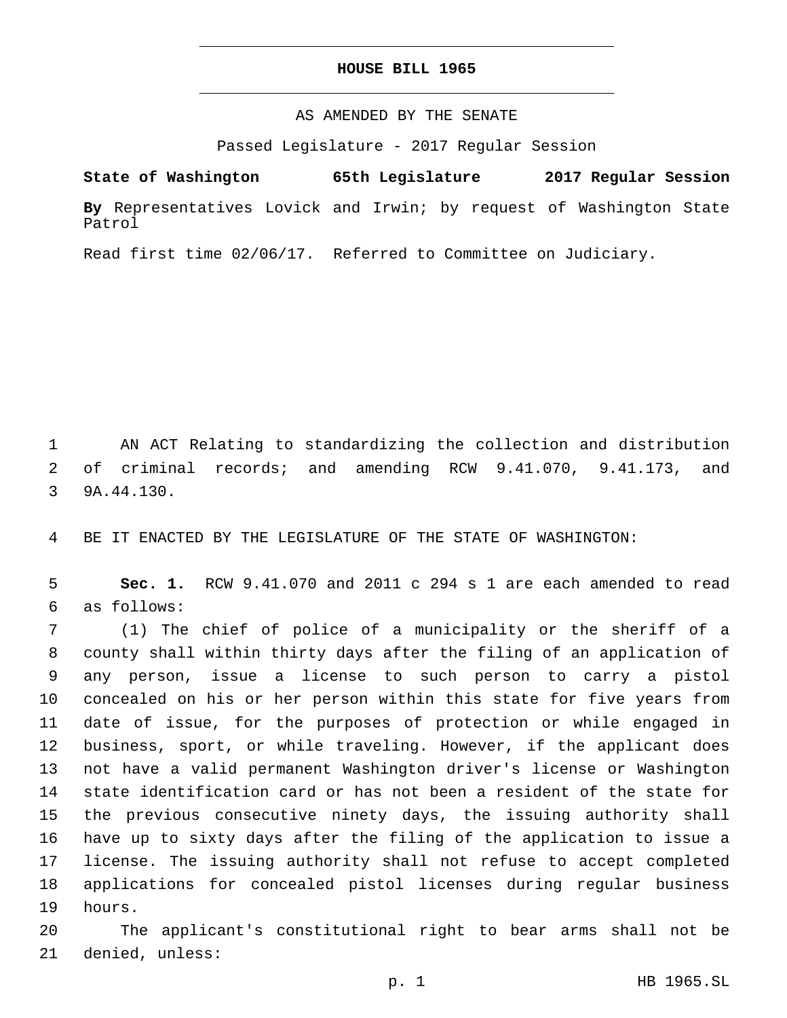### **HOUSE BILL 1965**

## AS AMENDED BY THE SENATE

Passed Legislature - 2017 Regular Session

# **State of Washington 65th Legislature 2017 Regular Session**

**By** Representatives Lovick and Irwin; by request of Washington State Patrol

Read first time 02/06/17. Referred to Committee on Judiciary.

1 AN ACT Relating to standardizing the collection and distribution 2 of criminal records; and amending RCW 9.41.070, 9.41.173, and 3 9A.44.130.

4 BE IT ENACTED BY THE LEGISLATURE OF THE STATE OF WASHINGTON:

5 **Sec. 1.** RCW 9.41.070 and 2011 c 294 s 1 are each amended to read as follows:6

 (1) The chief of police of a municipality or the sheriff of a county shall within thirty days after the filing of an application of any person, issue a license to such person to carry a pistol concealed on his or her person within this state for five years from date of issue, for the purposes of protection or while engaged in business, sport, or while traveling. However, if the applicant does not have a valid permanent Washington driver's license or Washington state identification card or has not been a resident of the state for the previous consecutive ninety days, the issuing authority shall have up to sixty days after the filing of the application to issue a license. The issuing authority shall not refuse to accept completed applications for concealed pistol licenses during regular business 19 hours.

20 The applicant's constitutional right to bear arms shall not be 21 denied, unless: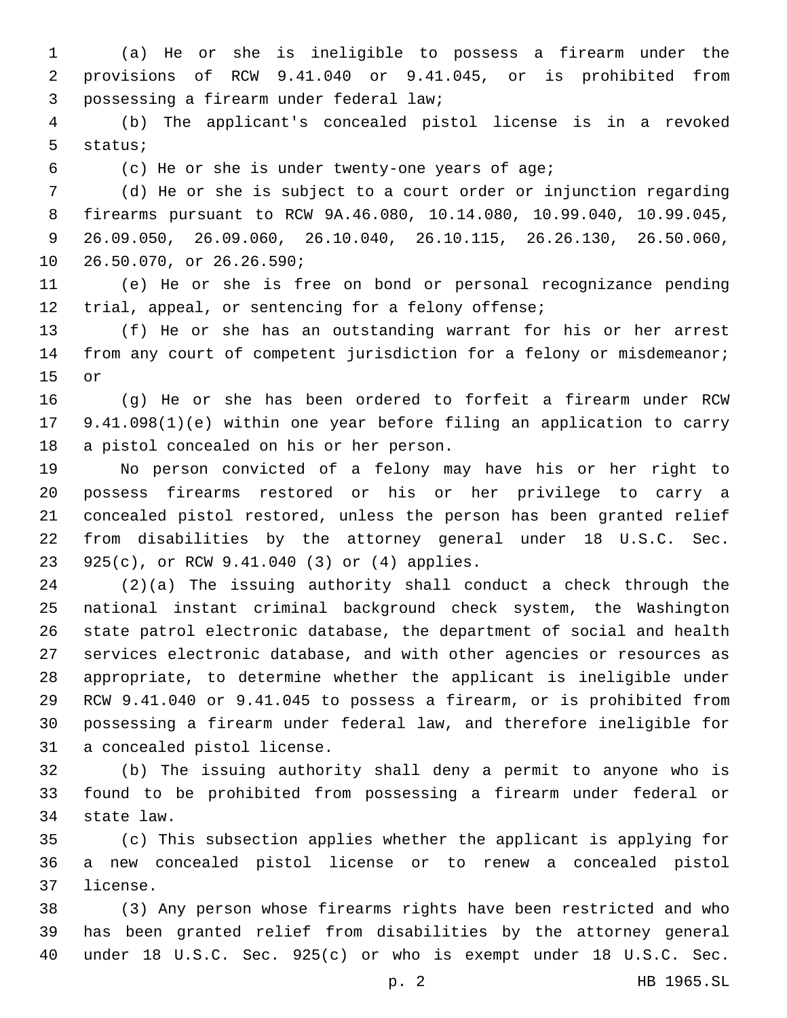(a) He or she is ineligible to possess a firearm under the provisions of RCW 9.41.040 or 9.41.045, or is prohibited from possessing a firearm under federal law;3

 (b) The applicant's concealed pistol license is in a revoked 5 status;

(c) He or she is under twenty-one years of age;

 (d) He or she is subject to a court order or injunction regarding firearms pursuant to RCW 9A.46.080, 10.14.080, 10.99.040, 10.99.045, 26.09.050, 26.09.060, 26.10.040, 26.10.115, 26.26.130, 26.50.060, 10 26.50.070, or 26.26.590;

 (e) He or she is free on bond or personal recognizance pending trial, appeal, or sentencing for a felony offense;

 (f) He or she has an outstanding warrant for his or her arrest from any court of competent jurisdiction for a felony or misdemeanor; 15 or

 (g) He or she has been ordered to forfeit a firearm under RCW 9.41.098(1)(e) within one year before filing an application to carry 18 a pistol concealed on his or her person.

 No person convicted of a felony may have his or her right to possess firearms restored or his or her privilege to carry a concealed pistol restored, unless the person has been granted relief from disabilities by the attorney general under 18 U.S.C. Sec. 925(c), or RCW 9.41.040 (3) or (4) applies.23

 (2)(a) The issuing authority shall conduct a check through the national instant criminal background check system, the Washington state patrol electronic database, the department of social and health services electronic database, and with other agencies or resources as appropriate, to determine whether the applicant is ineligible under RCW 9.41.040 or 9.41.045 to possess a firearm, or is prohibited from possessing a firearm under federal law, and therefore ineligible for 31 a concealed pistol license.

 (b) The issuing authority shall deny a permit to anyone who is found to be prohibited from possessing a firearm under federal or 34 state law.

 (c) This subsection applies whether the applicant is applying for a new concealed pistol license or to renew a concealed pistol 37 license.

 (3) Any person whose firearms rights have been restricted and who has been granted relief from disabilities by the attorney general under 18 U.S.C. Sec. 925(c) or who is exempt under 18 U.S.C. Sec.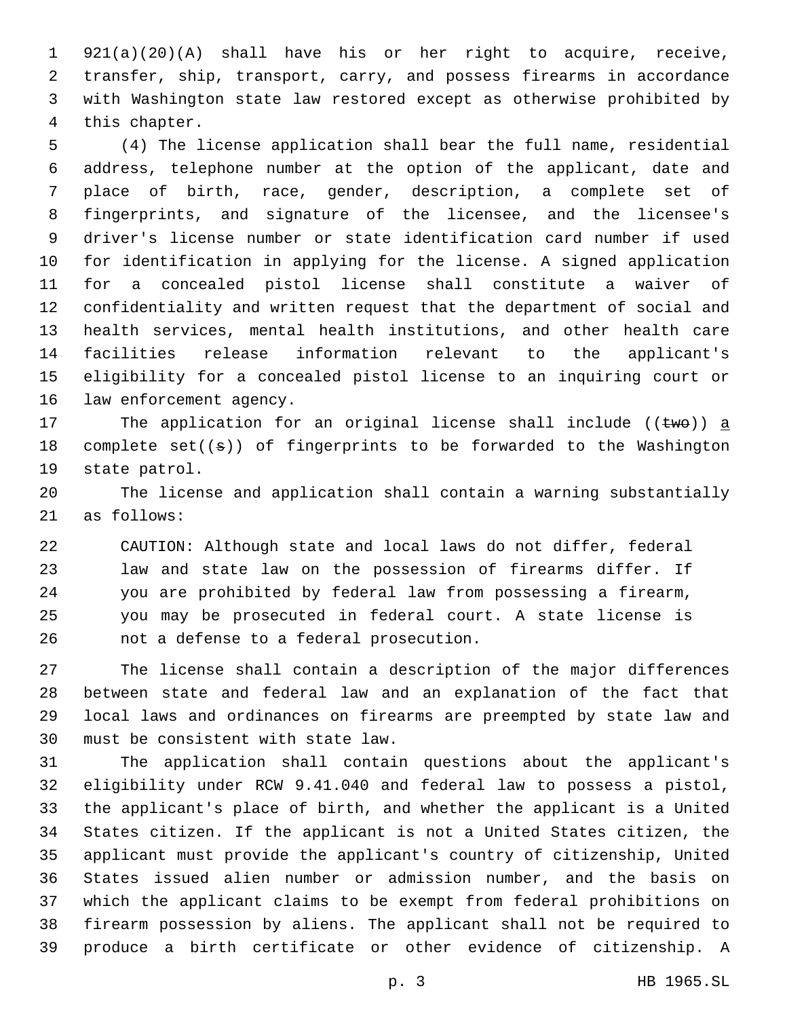921(a)(20)(A) shall have his or her right to acquire, receive, transfer, ship, transport, carry, and possess firearms in accordance with Washington state law restored except as otherwise prohibited by 4 this chapter.

 (4) The license application shall bear the full name, residential address, telephone number at the option of the applicant, date and place of birth, race, gender, description, a complete set of fingerprints, and signature of the licensee, and the licensee's driver's license number or state identification card number if used for identification in applying for the license. A signed application for a concealed pistol license shall constitute a waiver of confidentiality and written request that the department of social and health services, mental health institutions, and other health care facilities release information relevant to the applicant's eligibility for a concealed pistol license to an inquiring court or 16 law enforcement agency.

17 The application for an original license shall include (( $t$ we)) a 18 complete  $set((s))$  of fingerprints to be forwarded to the Washington 19 state patrol.

 The license and application shall contain a warning substantially 21 as follows:

 CAUTION: Although state and local laws do not differ, federal law and state law on the possession of firearms differ. If you are prohibited by federal law from possessing a firearm, you may be prosecuted in federal court. A state license is 26 mot a defense to a federal prosecution.

 The license shall contain a description of the major differences between state and federal law and an explanation of the fact that local laws and ordinances on firearms are preempted by state law and 30 must be consistent with state law.

 The application shall contain questions about the applicant's eligibility under RCW 9.41.040 and federal law to possess a pistol, the applicant's place of birth, and whether the applicant is a United States citizen. If the applicant is not a United States citizen, the applicant must provide the applicant's country of citizenship, United States issued alien number or admission number, and the basis on which the applicant claims to be exempt from federal prohibitions on firearm possession by aliens. The applicant shall not be required to produce a birth certificate or other evidence of citizenship. A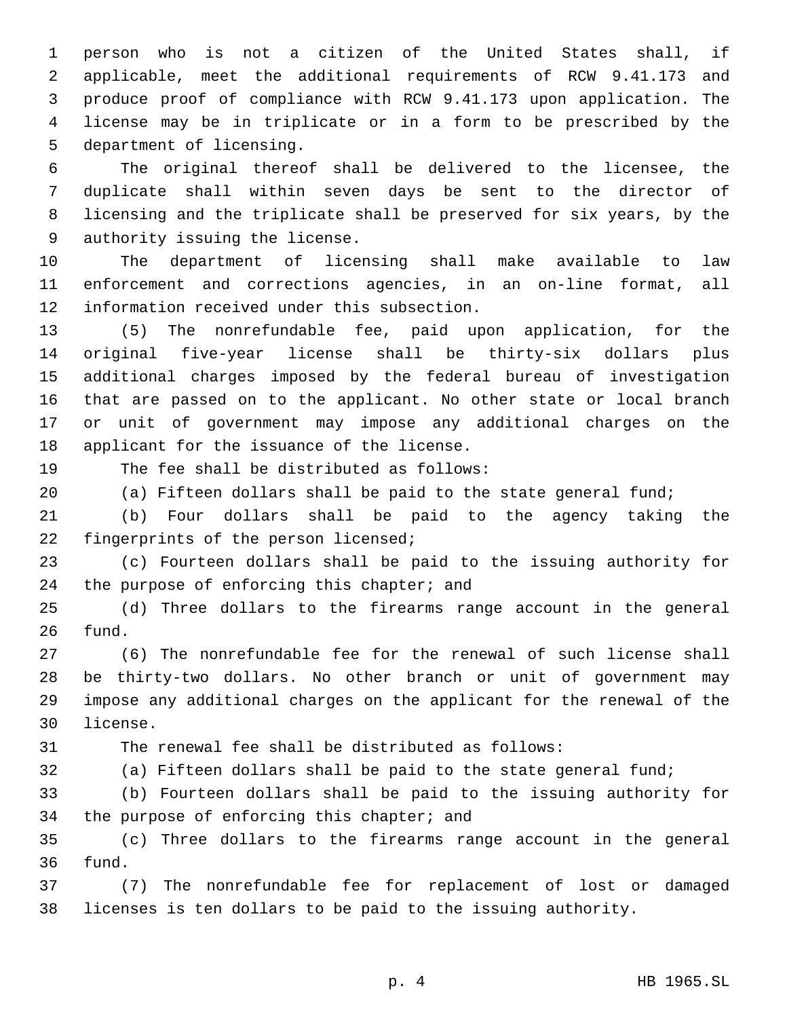person who is not a citizen of the United States shall, if applicable, meet the additional requirements of RCW 9.41.173 and produce proof of compliance with RCW 9.41.173 upon application. The license may be in triplicate or in a form to be prescribed by the 5 department of licensing.

 The original thereof shall be delivered to the licensee, the duplicate shall within seven days be sent to the director of licensing and the triplicate shall be preserved for six years, by the 9 authority issuing the license.

 The department of licensing shall make available to law enforcement and corrections agencies, in an on-line format, all 12 information received under this subsection.

 (5) The nonrefundable fee, paid upon application, for the original five-year license shall be thirty-six dollars plus additional charges imposed by the federal bureau of investigation that are passed on to the applicant. No other state or local branch or unit of government may impose any additional charges on the 18 applicant for the issuance of the license.

19 The fee shall be distributed as follows:

(a) Fifteen dollars shall be paid to the state general fund;

 (b) Four dollars shall be paid to the agency taking the 22 fingerprints of the person licensed;

 (c) Fourteen dollars shall be paid to the issuing authority for 24 the purpose of enforcing this chapter; and

 (d) Three dollars to the firearms range account in the general 26 fund.

 (6) The nonrefundable fee for the renewal of such license shall be thirty-two dollars. No other branch or unit of government may impose any additional charges on the applicant for the renewal of the 30 license.

The renewal fee shall be distributed as follows:

(a) Fifteen dollars shall be paid to the state general fund;

 (b) Fourteen dollars shall be paid to the issuing authority for 34 the purpose of enforcing this chapter; and

 (c) Three dollars to the firearms range account in the general 36 fund.

 (7) The nonrefundable fee for replacement of lost or damaged licenses is ten dollars to be paid to the issuing authority.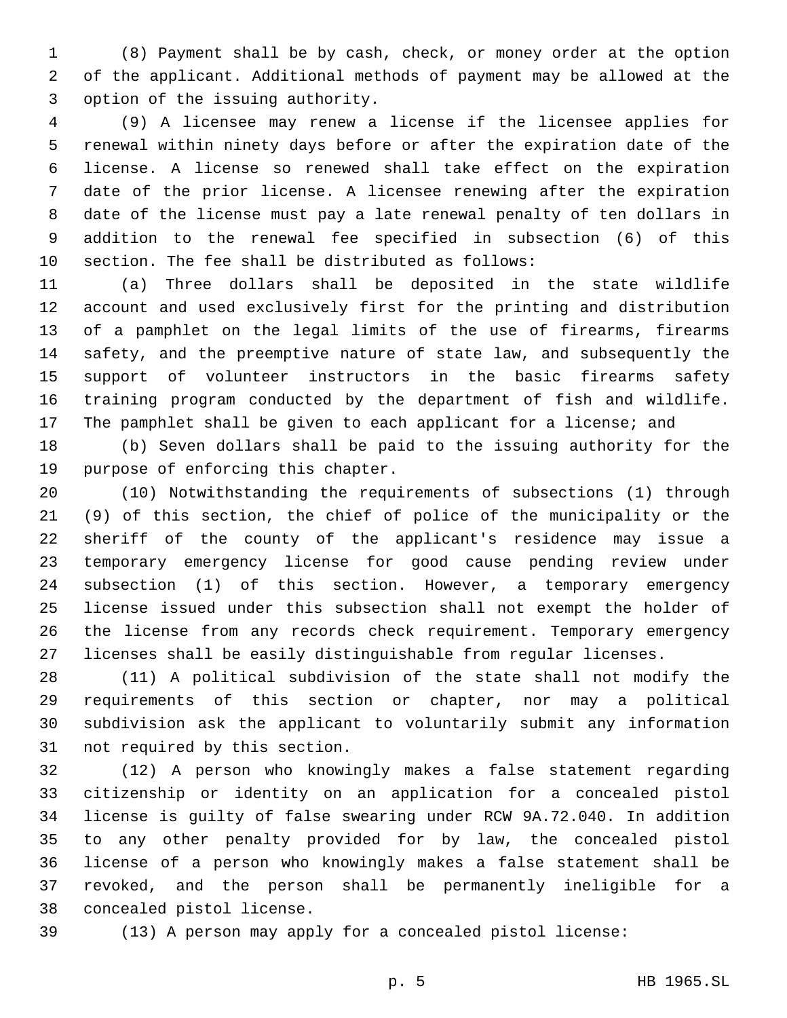(8) Payment shall be by cash, check, or money order at the option of the applicant. Additional methods of payment may be allowed at the 3 option of the issuing authority.

 (9) A licensee may renew a license if the licensee applies for renewal within ninety days before or after the expiration date of the license. A license so renewed shall take effect on the expiration date of the prior license. A licensee renewing after the expiration date of the license must pay a late renewal penalty of ten dollars in addition to the renewal fee specified in subsection (6) of this 10 section. The fee shall be distributed as follows:

 (a) Three dollars shall be deposited in the state wildlife account and used exclusively first for the printing and distribution of a pamphlet on the legal limits of the use of firearms, firearms safety, and the preemptive nature of state law, and subsequently the support of volunteer instructors in the basic firearms safety training program conducted by the department of fish and wildlife. The pamphlet shall be given to each applicant for a license; and

 (b) Seven dollars shall be paid to the issuing authority for the 19 purpose of enforcing this chapter.

 (10) Notwithstanding the requirements of subsections (1) through (9) of this section, the chief of police of the municipality or the sheriff of the county of the applicant's residence may issue a temporary emergency license for good cause pending review under subsection (1) of this section. However, a temporary emergency license issued under this subsection shall not exempt the holder of the license from any records check requirement. Temporary emergency licenses shall be easily distinguishable from regular licenses.

 (11) A political subdivision of the state shall not modify the requirements of this section or chapter, nor may a political subdivision ask the applicant to voluntarily submit any information 31 not required by this section.

 (12) A person who knowingly makes a false statement regarding citizenship or identity on an application for a concealed pistol license is guilty of false swearing under RCW 9A.72.040. In addition to any other penalty provided for by law, the concealed pistol license of a person who knowingly makes a false statement shall be revoked, and the person shall be permanently ineligible for a 38 concealed pistol license.

(13) A person may apply for a concealed pistol license:

p. 5 HB 1965.SL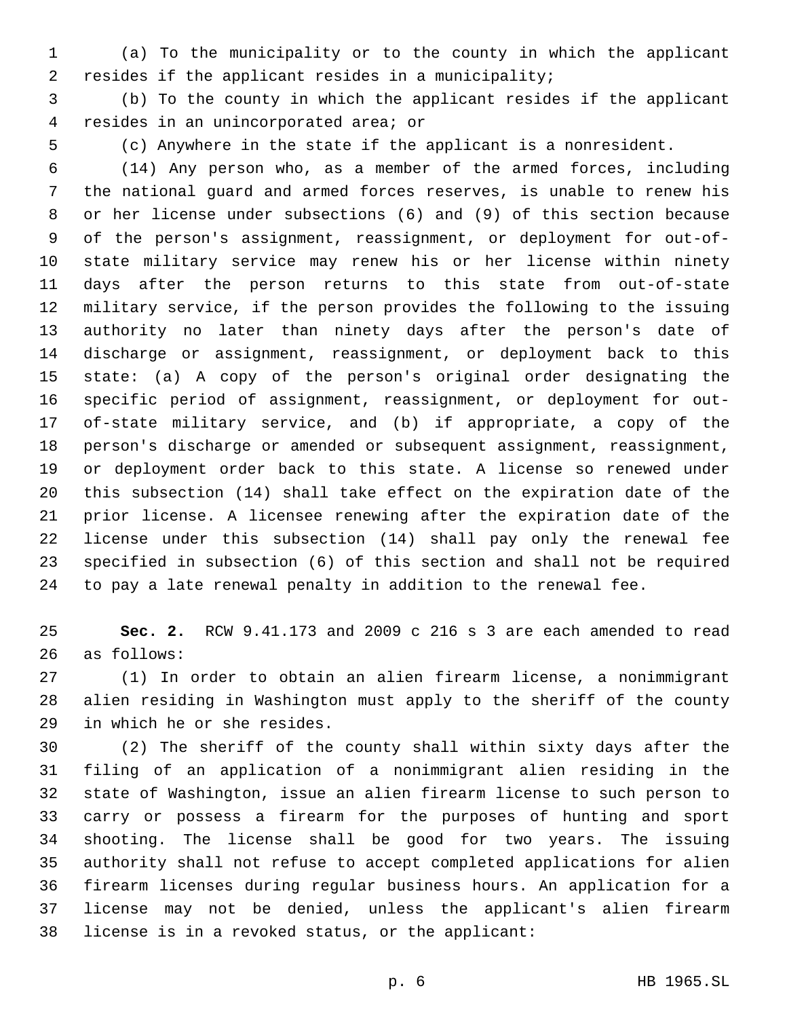(a) To the municipality or to the county in which the applicant resides if the applicant resides in a municipality;

 (b) To the county in which the applicant resides if the applicant resides in an unincorporated area; or4

(c) Anywhere in the state if the applicant is a nonresident.

 (14) Any person who, as a member of the armed forces, including the national guard and armed forces reserves, is unable to renew his or her license under subsections (6) and (9) of this section because of the person's assignment, reassignment, or deployment for out-of- state military service may renew his or her license within ninety days after the person returns to this state from out-of-state military service, if the person provides the following to the issuing authority no later than ninety days after the person's date of discharge or assignment, reassignment, or deployment back to this state: (a) A copy of the person's original order designating the specific period of assignment, reassignment, or deployment for out- of-state military service, and (b) if appropriate, a copy of the person's discharge or amended or subsequent assignment, reassignment, or deployment order back to this state. A license so renewed under this subsection (14) shall take effect on the expiration date of the prior license. A licensee renewing after the expiration date of the license under this subsection (14) shall pay only the renewal fee specified in subsection (6) of this section and shall not be required to pay a late renewal penalty in addition to the renewal fee.

 **Sec. 2.** RCW 9.41.173 and 2009 c 216 s 3 are each amended to read as follows:26

 (1) In order to obtain an alien firearm license, a nonimmigrant alien residing in Washington must apply to the sheriff of the county 29 in which he or she resides.

 (2) The sheriff of the county shall within sixty days after the filing of an application of a nonimmigrant alien residing in the state of Washington, issue an alien firearm license to such person to carry or possess a firearm for the purposes of hunting and sport shooting. The license shall be good for two years. The issuing authority shall not refuse to accept completed applications for alien firearm licenses during regular business hours. An application for a license may not be denied, unless the applicant's alien firearm 38 license is in a revoked status, or the applicant: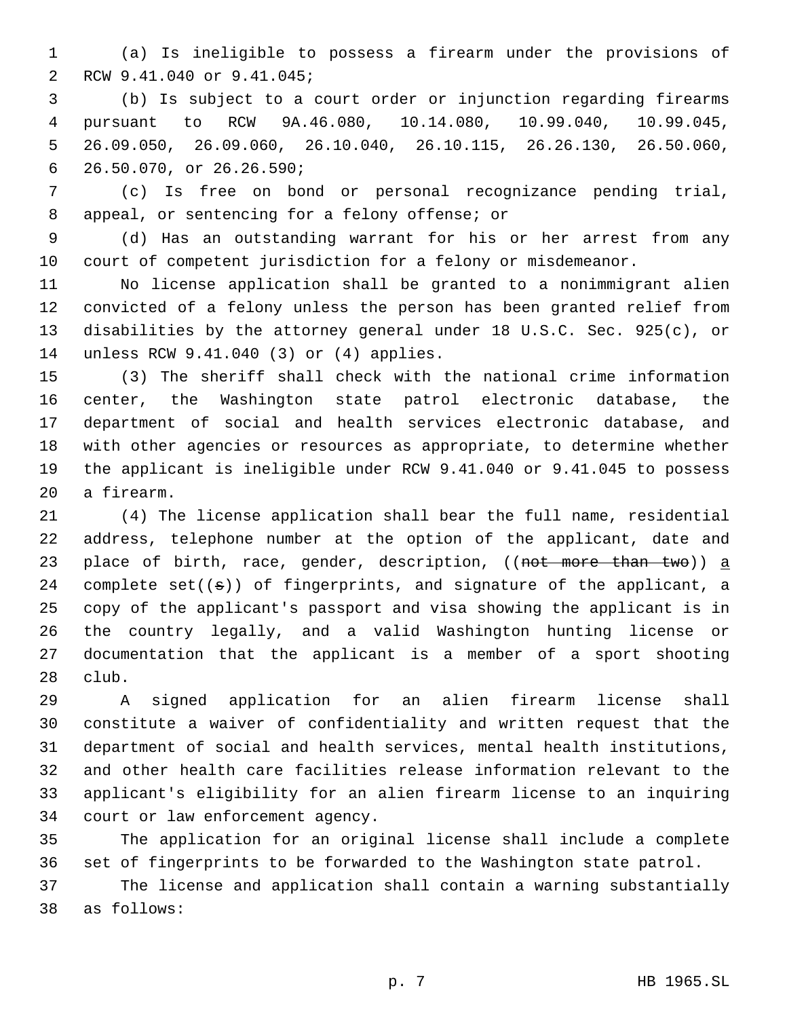(a) Is ineligible to possess a firearm under the provisions of 2 RCW 9.41.040 or 9.41.045;

 (b) Is subject to a court order or injunction regarding firearms pursuant to RCW 9A.46.080, 10.14.080, 10.99.040, 10.99.045, 26.09.050, 26.09.060, 26.10.040, 26.10.115, 26.26.130, 26.50.060, 26.50.070, or 26.26.590;6

 (c) Is free on bond or personal recognizance pending trial, 8 appeal, or sentencing for a felony offense; or

 (d) Has an outstanding warrant for his or her arrest from any court of competent jurisdiction for a felony or misdemeanor.

 No license application shall be granted to a nonimmigrant alien convicted of a felony unless the person has been granted relief from disabilities by the attorney general under 18 U.S.C. Sec. 925(c), or 14 unless RCW 9.41.040 (3) or (4) applies.

 (3) The sheriff shall check with the national crime information center, the Washington state patrol electronic database, the department of social and health services electronic database, and with other agencies or resources as appropriate, to determine whether the applicant is ineligible under RCW 9.41.040 or 9.41.045 to possess 20 a firearm.

 (4) The license application shall bear the full name, residential address, telephone number at the option of the applicant, date and 23 place of birth, race, gender, description, ((not more than two)) a 24 complete  $set((s))$  of fingerprints, and signature of the applicant, a copy of the applicant's passport and visa showing the applicant is in the country legally, and a valid Washington hunting license or documentation that the applicant is a member of a sport shooting 28 club.

 A signed application for an alien firearm license shall constitute a waiver of confidentiality and written request that the department of social and health services, mental health institutions, and other health care facilities release information relevant to the applicant's eligibility for an alien firearm license to an inquiring 34 court or law enforcement agency.

 The application for an original license shall include a complete set of fingerprints to be forwarded to the Washington state patrol.

 The license and application shall contain a warning substantially as follows:38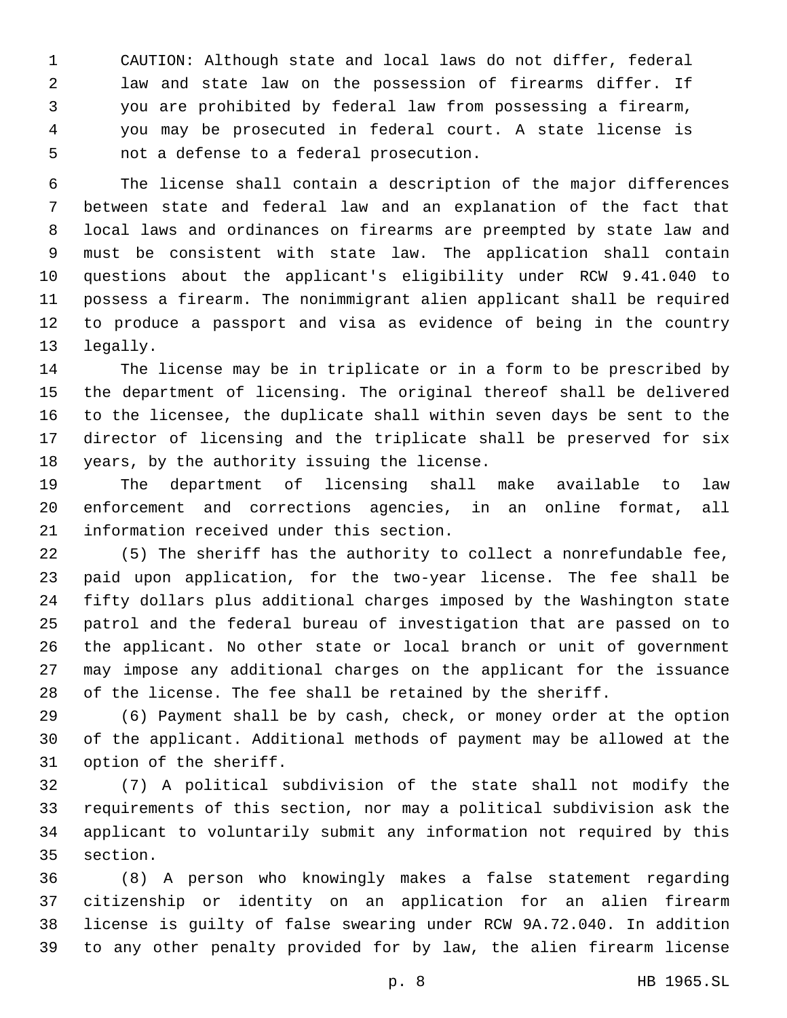CAUTION: Although state and local laws do not differ, federal law and state law on the possession of firearms differ. If you are prohibited by federal law from possessing a firearm, you may be prosecuted in federal court. A state license is 5 not a defense to a federal prosecution.

 The license shall contain a description of the major differences between state and federal law and an explanation of the fact that local laws and ordinances on firearms are preempted by state law and must be consistent with state law. The application shall contain questions about the applicant's eligibility under RCW 9.41.040 to possess a firearm. The nonimmigrant alien applicant shall be required to produce a passport and visa as evidence of being in the country 13 legally.

 The license may be in triplicate or in a form to be prescribed by the department of licensing. The original thereof shall be delivered to the licensee, the duplicate shall within seven days be sent to the director of licensing and the triplicate shall be preserved for six 18 years, by the authority issuing the license.

 The department of licensing shall make available to law enforcement and corrections agencies, in an online format, all 21 information received under this section.

 (5) The sheriff has the authority to collect a nonrefundable fee, paid upon application, for the two-year license. The fee shall be fifty dollars plus additional charges imposed by the Washington state patrol and the federal bureau of investigation that are passed on to the applicant. No other state or local branch or unit of government may impose any additional charges on the applicant for the issuance of the license. The fee shall be retained by the sheriff.

 (6) Payment shall be by cash, check, or money order at the option of the applicant. Additional methods of payment may be allowed at the 31 option of the sheriff.

 (7) A political subdivision of the state shall not modify the requirements of this section, nor may a political subdivision ask the applicant to voluntarily submit any information not required by this 35 section.

 (8) A person who knowingly makes a false statement regarding citizenship or identity on an application for an alien firearm license is guilty of false swearing under RCW 9A.72.040. In addition to any other penalty provided for by law, the alien firearm license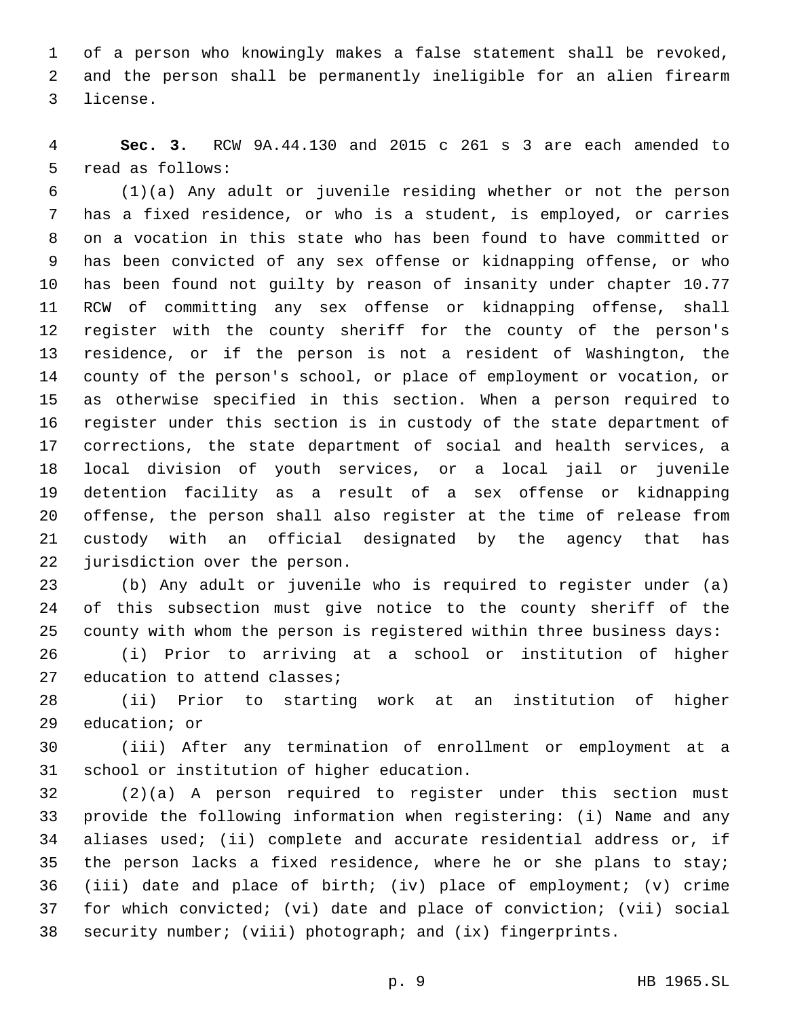of a person who knowingly makes a false statement shall be revoked, and the person shall be permanently ineligible for an alien firearm 3 license.

 **Sec. 3.** RCW 9A.44.130 and 2015 c 261 s 3 are each amended to 5 read as follows:

 (1)(a) Any adult or juvenile residing whether or not the person has a fixed residence, or who is a student, is employed, or carries on a vocation in this state who has been found to have committed or has been convicted of any sex offense or kidnapping offense, or who has been found not guilty by reason of insanity under chapter 10.77 RCW of committing any sex offense or kidnapping offense, shall register with the county sheriff for the county of the person's residence, or if the person is not a resident of Washington, the county of the person's school, or place of employment or vocation, or as otherwise specified in this section. When a person required to register under this section is in custody of the state department of corrections, the state department of social and health services, a local division of youth services, or a local jail or juvenile detention facility as a result of a sex offense or kidnapping offense, the person shall also register at the time of release from custody with an official designated by the agency that has 22 jurisdiction over the person.

 (b) Any adult or juvenile who is required to register under (a) of this subsection must give notice to the county sheriff of the county with whom the person is registered within three business days:

 (i) Prior to arriving at a school or institution of higher 27 education to attend classes;

 (ii) Prior to starting work at an institution of higher 29 education; or

 (iii) After any termination of enrollment or employment at a 31 school or institution of higher education.

 (2)(a) A person required to register under this section must provide the following information when registering: (i) Name and any aliases used; (ii) complete and accurate residential address or, if 35 the person lacks a fixed residence, where he or she plans to stay; (iii) date and place of birth; (iv) place of employment; (v) crime for which convicted; (vi) date and place of conviction; (vii) social security number; (viii) photograph; and (ix) fingerprints.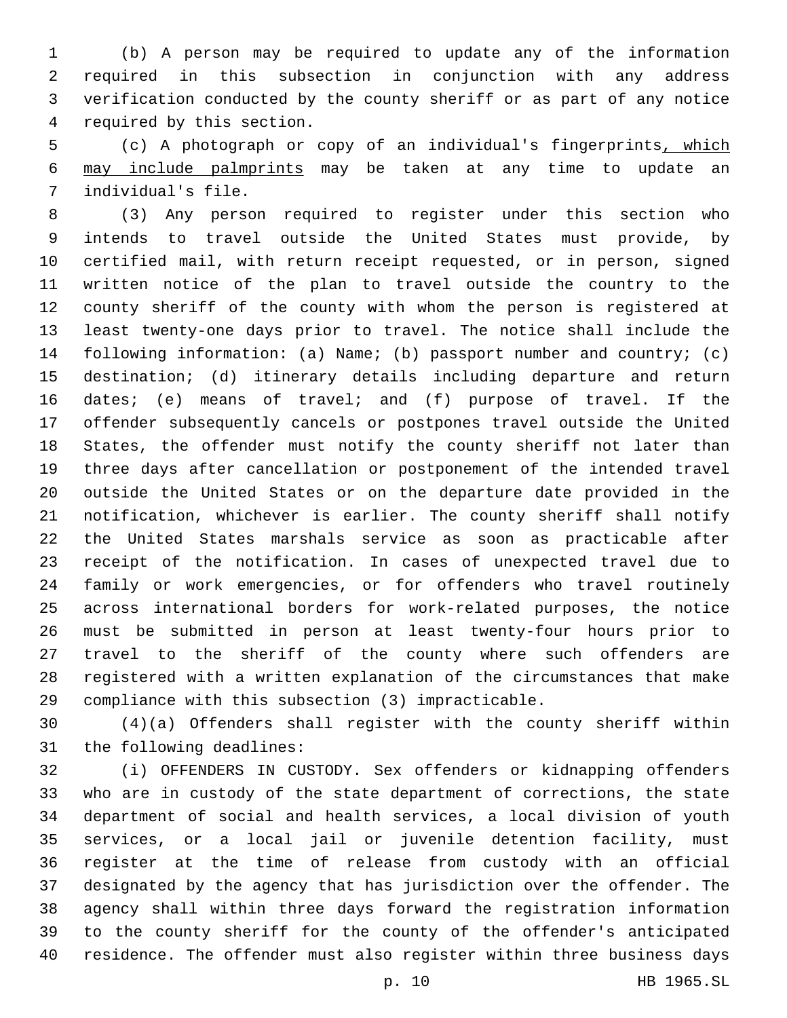(b) A person may be required to update any of the information required in this subsection in conjunction with any address verification conducted by the county sheriff or as part of any notice 4 required by this section.

 (c) A photograph or copy of an individual's fingerprints, which may include palmprints may be taken at any time to update an 7 individual's file.

 (3) Any person required to register under this section who intends to travel outside the United States must provide, by certified mail, with return receipt requested, or in person, signed written notice of the plan to travel outside the country to the county sheriff of the county with whom the person is registered at least twenty-one days prior to travel. The notice shall include the following information: (a) Name; (b) passport number and country; (c) destination; (d) itinerary details including departure and return dates; (e) means of travel; and (f) purpose of travel. If the offender subsequently cancels or postpones travel outside the United States, the offender must notify the county sheriff not later than three days after cancellation or postponement of the intended travel outside the United States or on the departure date provided in the notification, whichever is earlier. The county sheriff shall notify the United States marshals service as soon as practicable after receipt of the notification. In cases of unexpected travel due to family or work emergencies, or for offenders who travel routinely across international borders for work-related purposes, the notice must be submitted in person at least twenty-four hours prior to travel to the sheriff of the county where such offenders are registered with a written explanation of the circumstances that make compliance with this subsection (3) impracticable.

 (4)(a) Offenders shall register with the county sheriff within 31 the following deadlines:

 (i) OFFENDERS IN CUSTODY. Sex offenders or kidnapping offenders who are in custody of the state department of corrections, the state department of social and health services, a local division of youth services, or a local jail or juvenile detention facility, must register at the time of release from custody with an official designated by the agency that has jurisdiction over the offender. The agency shall within three days forward the registration information to the county sheriff for the county of the offender's anticipated residence. The offender must also register within three business days

p. 10 HB 1965.SL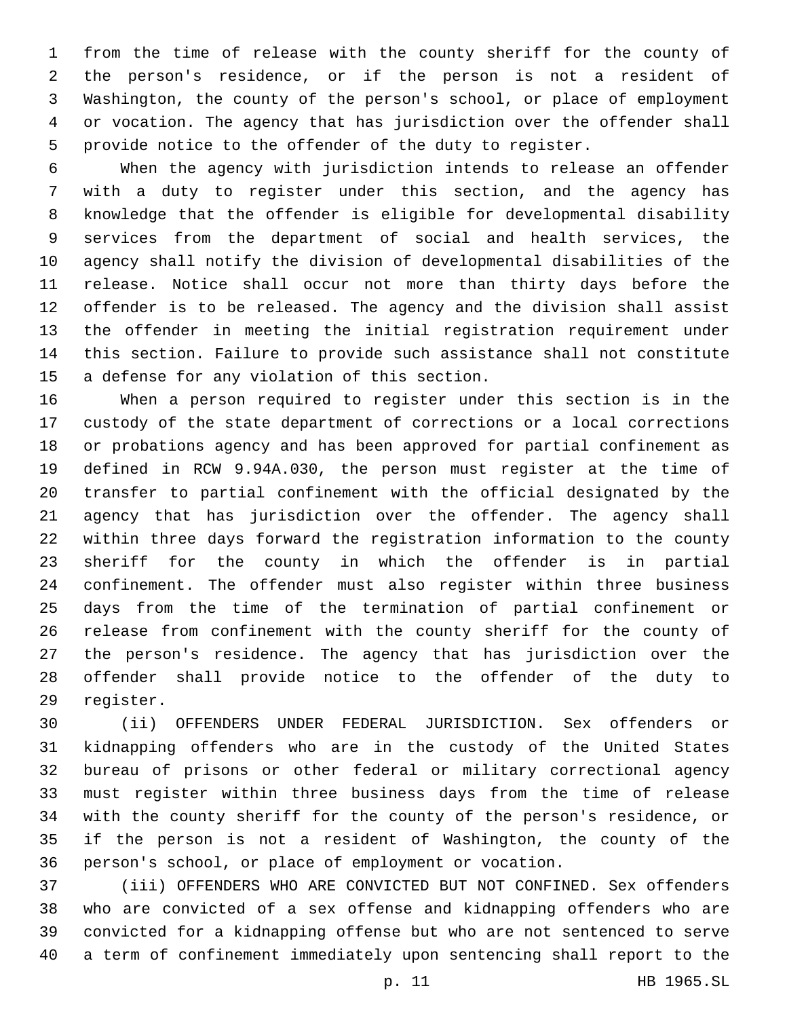from the time of release with the county sheriff for the county of the person's residence, or if the person is not a resident of Washington, the county of the person's school, or place of employment or vocation. The agency that has jurisdiction over the offender shall provide notice to the offender of the duty to register.

 When the agency with jurisdiction intends to release an offender with a duty to register under this section, and the agency has knowledge that the offender is eligible for developmental disability services from the department of social and health services, the agency shall notify the division of developmental disabilities of the release. Notice shall occur not more than thirty days before the offender is to be released. The agency and the division shall assist the offender in meeting the initial registration requirement under this section. Failure to provide such assistance shall not constitute 15 a defense for any violation of this section.

 When a person required to register under this section is in the custody of the state department of corrections or a local corrections or probations agency and has been approved for partial confinement as defined in RCW 9.94A.030, the person must register at the time of transfer to partial confinement with the official designated by the agency that has jurisdiction over the offender. The agency shall within three days forward the registration information to the county sheriff for the county in which the offender is in partial confinement. The offender must also register within three business days from the time of the termination of partial confinement or release from confinement with the county sheriff for the county of the person's residence. The agency that has jurisdiction over the offender shall provide notice to the offender of the duty to 29 register.

 (ii) OFFENDERS UNDER FEDERAL JURISDICTION. Sex offenders or kidnapping offenders who are in the custody of the United States bureau of prisons or other federal or military correctional agency must register within three business days from the time of release with the county sheriff for the county of the person's residence, or if the person is not a resident of Washington, the county of the person's school, or place of employment or vocation.

 (iii) OFFENDERS WHO ARE CONVICTED BUT NOT CONFINED. Sex offenders who are convicted of a sex offense and kidnapping offenders who are convicted for a kidnapping offense but who are not sentenced to serve a term of confinement immediately upon sentencing shall report to the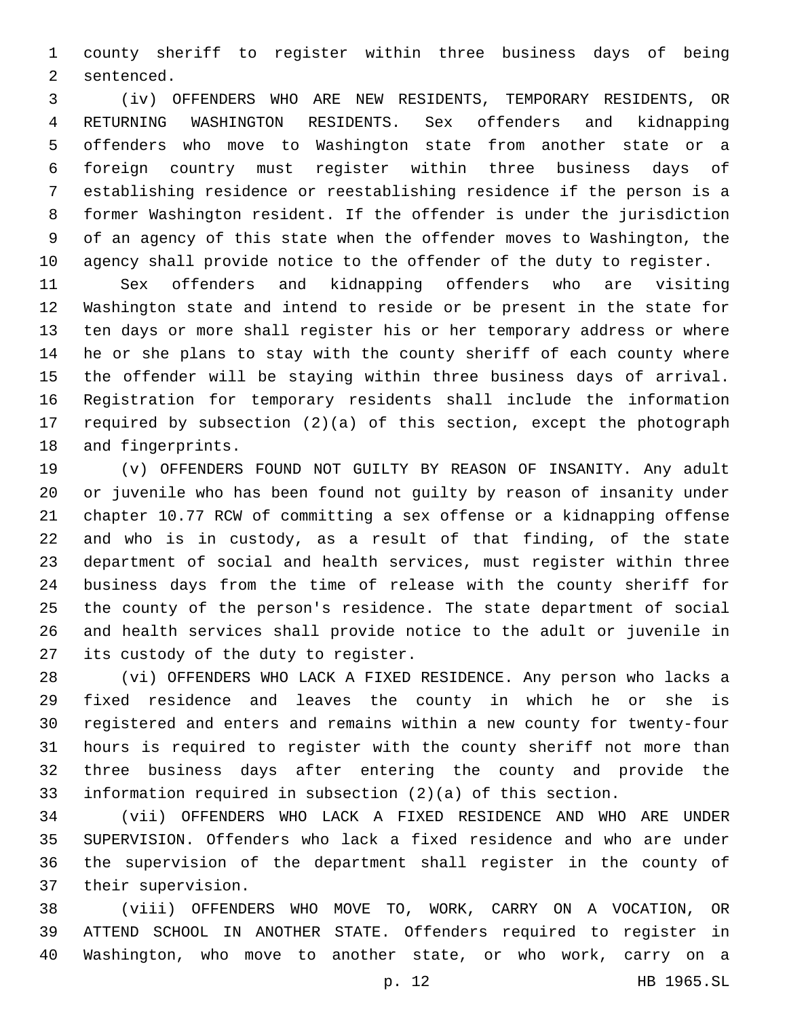county sheriff to register within three business days of being 2 sentenced.

 (iv) OFFENDERS WHO ARE NEW RESIDENTS, TEMPORARY RESIDENTS, OR RETURNING WASHINGTON RESIDENTS. Sex offenders and kidnapping offenders who move to Washington state from another state or a foreign country must register within three business days of establishing residence or reestablishing residence if the person is a former Washington resident. If the offender is under the jurisdiction of an agency of this state when the offender moves to Washington, the agency shall provide notice to the offender of the duty to register.

 Sex offenders and kidnapping offenders who are visiting Washington state and intend to reside or be present in the state for ten days or more shall register his or her temporary address or where he or she plans to stay with the county sheriff of each county where the offender will be staying within three business days of arrival. Registration for temporary residents shall include the information required by subsection (2)(a) of this section, except the photograph 18 and fingerprints.

 (v) OFFENDERS FOUND NOT GUILTY BY REASON OF INSANITY. Any adult or juvenile who has been found not guilty by reason of insanity under chapter 10.77 RCW of committing a sex offense or a kidnapping offense and who is in custody, as a result of that finding, of the state department of social and health services, must register within three business days from the time of release with the county sheriff for the county of the person's residence. The state department of social and health services shall provide notice to the adult or juvenile in 27 its custody of the duty to register.

 (vi) OFFENDERS WHO LACK A FIXED RESIDENCE. Any person who lacks a fixed residence and leaves the county in which he or she is registered and enters and remains within a new county for twenty-four hours is required to register with the county sheriff not more than three business days after entering the county and provide the information required in subsection (2)(a) of this section.

 (vii) OFFENDERS WHO LACK A FIXED RESIDENCE AND WHO ARE UNDER SUPERVISION. Offenders who lack a fixed residence and who are under the supervision of the department shall register in the county of 37 their supervision.

 (viii) OFFENDERS WHO MOVE TO, WORK, CARRY ON A VOCATION, OR ATTEND SCHOOL IN ANOTHER STATE. Offenders required to register in Washington, who move to another state, or who work, carry on a

p. 12 HB 1965.SL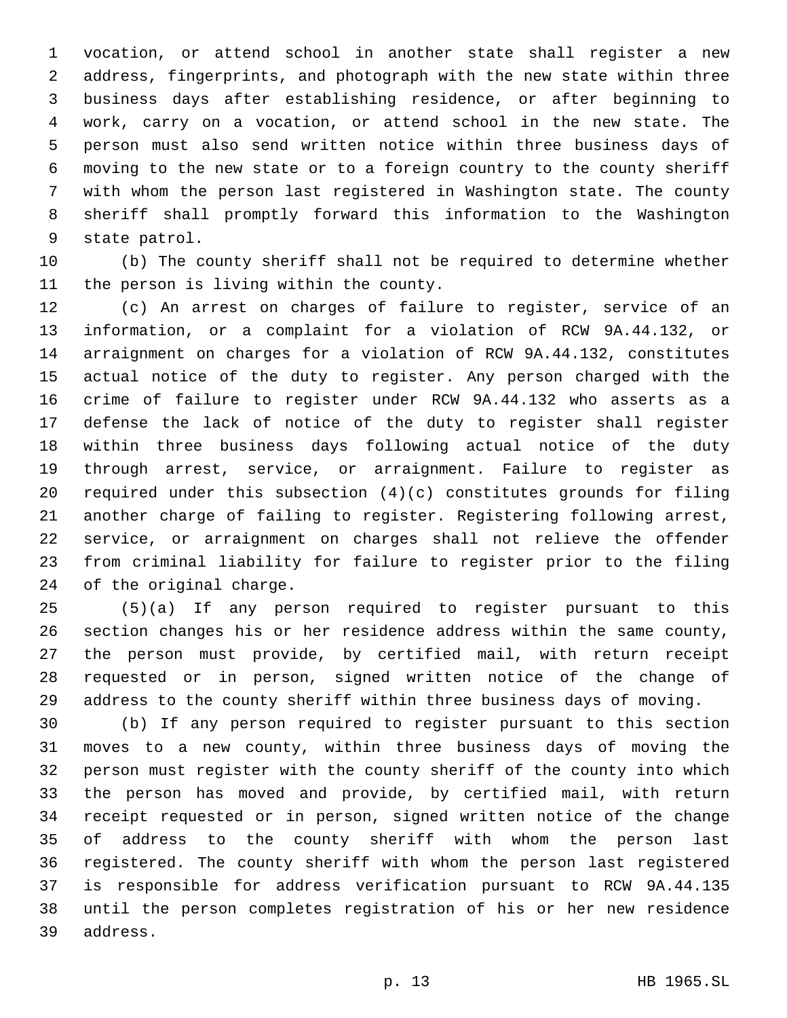vocation, or attend school in another state shall register a new address, fingerprints, and photograph with the new state within three business days after establishing residence, or after beginning to work, carry on a vocation, or attend school in the new state. The person must also send written notice within three business days of moving to the new state or to a foreign country to the county sheriff with whom the person last registered in Washington state. The county sheriff shall promptly forward this information to the Washington 9 state patrol.

 (b) The county sheriff shall not be required to determine whether 11 the person is living within the county.

 (c) An arrest on charges of failure to register, service of an information, or a complaint for a violation of RCW 9A.44.132, or arraignment on charges for a violation of RCW 9A.44.132, constitutes actual notice of the duty to register. Any person charged with the crime of failure to register under RCW 9A.44.132 who asserts as a defense the lack of notice of the duty to register shall register within three business days following actual notice of the duty through arrest, service, or arraignment. Failure to register as required under this subsection (4)(c) constitutes grounds for filing another charge of failing to register. Registering following arrest, service, or arraignment on charges shall not relieve the offender from criminal liability for failure to register prior to the filing 24 of the original charge.

 (5)(a) If any person required to register pursuant to this section changes his or her residence address within the same county, the person must provide, by certified mail, with return receipt requested or in person, signed written notice of the change of address to the county sheriff within three business days of moving.

 (b) If any person required to register pursuant to this section moves to a new county, within three business days of moving the person must register with the county sheriff of the county into which the person has moved and provide, by certified mail, with return receipt requested or in person, signed written notice of the change of address to the county sheriff with whom the person last registered. The county sheriff with whom the person last registered is responsible for address verification pursuant to RCW 9A.44.135 until the person completes registration of his or her new residence 39 address.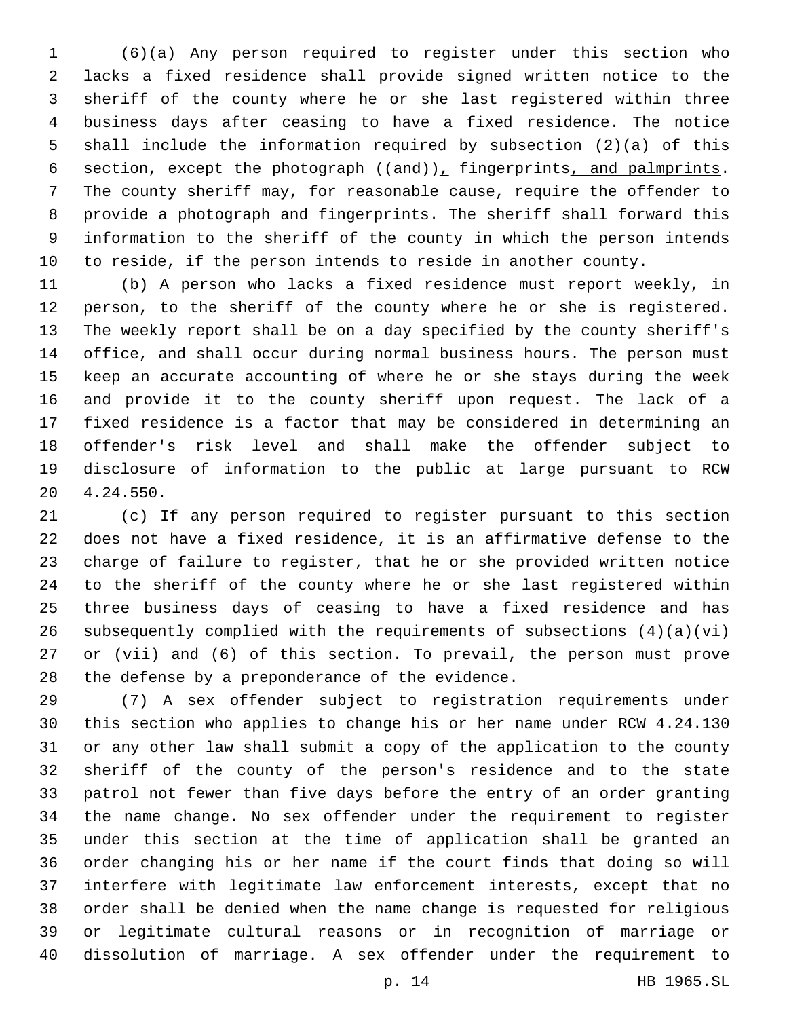(6)(a) Any person required to register under this section who lacks a fixed residence shall provide signed written notice to the sheriff of the county where he or she last registered within three business days after ceasing to have a fixed residence. The notice shall include the information required by subsection (2)(a) of this 6 section, except the photograph  $((and))_L$  fingerprints, and palmprints. The county sheriff may, for reasonable cause, require the offender to provide a photograph and fingerprints. The sheriff shall forward this information to the sheriff of the county in which the person intends to reside, if the person intends to reside in another county.

 (b) A person who lacks a fixed residence must report weekly, in person, to the sheriff of the county where he or she is registered. The weekly report shall be on a day specified by the county sheriff's office, and shall occur during normal business hours. The person must keep an accurate accounting of where he or she stays during the week and provide it to the county sheriff upon request. The lack of a fixed residence is a factor that may be considered in determining an offender's risk level and shall make the offender subject to disclosure of information to the public at large pursuant to RCW 20 4.24.550.

 (c) If any person required to register pursuant to this section does not have a fixed residence, it is an affirmative defense to the charge of failure to register, that he or she provided written notice to the sheriff of the county where he or she last registered within three business days of ceasing to have a fixed residence and has 26 subsequently complied with the requirements of subsections  $(4)(a)(vi)$  or (vii) and (6) of this section. To prevail, the person must prove 28 the defense by a preponderance of the evidence.

 (7) A sex offender subject to registration requirements under this section who applies to change his or her name under RCW 4.24.130 or any other law shall submit a copy of the application to the county sheriff of the county of the person's residence and to the state patrol not fewer than five days before the entry of an order granting the name change. No sex offender under the requirement to register under this section at the time of application shall be granted an order changing his or her name if the court finds that doing so will interfere with legitimate law enforcement interests, except that no order shall be denied when the name change is requested for religious or legitimate cultural reasons or in recognition of marriage or dissolution of marriage. A sex offender under the requirement to